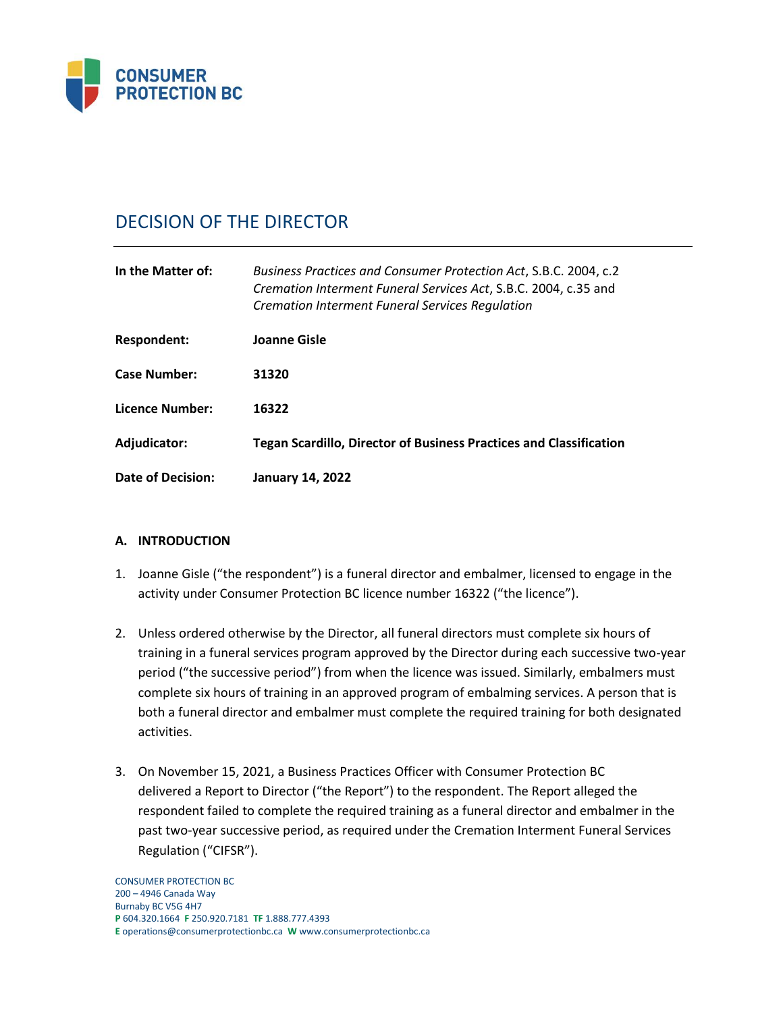

# DECISION OF THE DIRECTOR

| In the Matter of:   | Business Practices and Consumer Protection Act, S.B.C. 2004, c.2<br>Cremation Interment Funeral Services Act, S.B.C. 2004, c.35 and<br><b>Cremation Interment Funeral Services Regulation</b> |  |
|---------------------|-----------------------------------------------------------------------------------------------------------------------------------------------------------------------------------------------|--|
| Respondent:         | Joanne Gisle                                                                                                                                                                                  |  |
| <b>Case Number:</b> | 31320                                                                                                                                                                                         |  |
| Licence Number:     | 16322                                                                                                                                                                                         |  |
| Adjudicator:        | <b>Tegan Scardillo, Director of Business Practices and Classification</b>                                                                                                                     |  |
| Date of Decision:   | <b>January 14, 2022</b>                                                                                                                                                                       |  |

# **A. INTRODUCTION**

- 1. Joanne Gisle ("the respondent") is a funeral director and embalmer, licensed to engage in the activity under Consumer Protection BC licence number 16322 ("the licence").
- 2. Unless ordered otherwise by the Director, all funeral directors must complete six hours of training in a funeral services program approved by the Director during each successive two-year period ("the successive period") from when the licence was issued. Similarly, embalmers must complete six hours of training in an approved program of embalming services. A person that is both a funeral director and embalmer must complete the required training for both designated activities.
- 3. On November 15, 2021, a Business Practices Officer with Consumer Protection BC delivered a Report to Director ("the Report") to the respondent. The Report alleged the respondent failed to complete the required training as a funeral director and embalmer in the past two-year successive period, as required under the Cremation Interment Funeral Services Regulation ("CIFSR").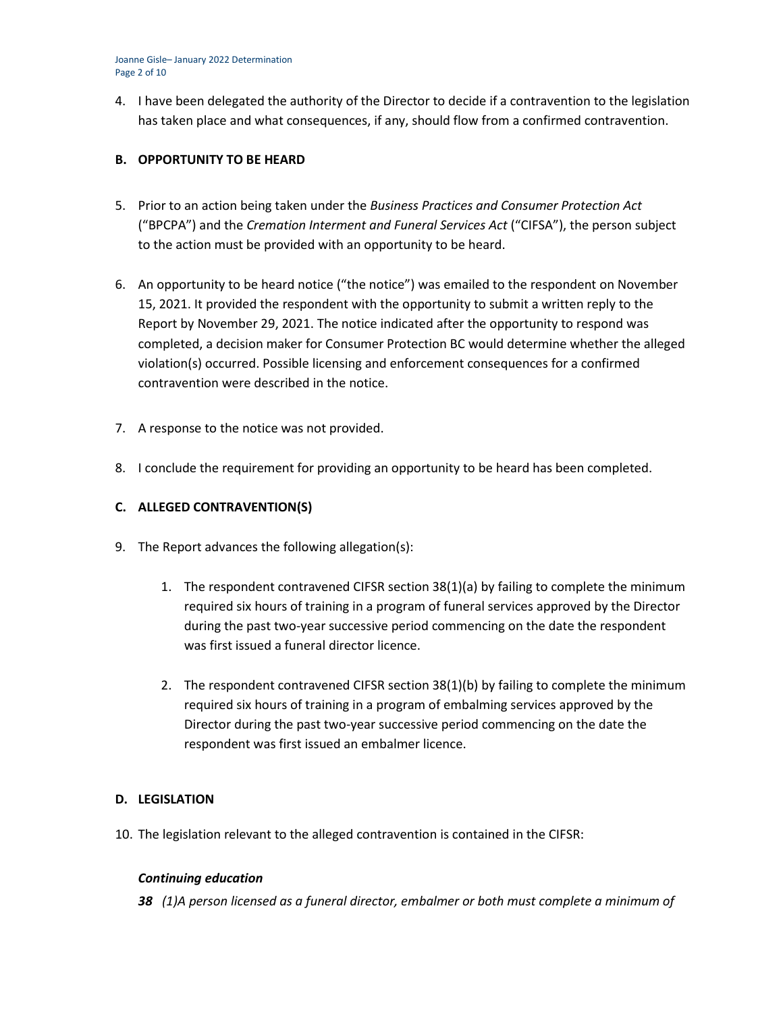Joanne Gisle– January 2022 Determination Page 2 of 10

4. I have been delegated the authority of the Director to decide if a contravention to the legislation has taken place and what consequences, if any, should flow from a confirmed contravention.

## **B. OPPORTUNITY TO BE HEARD**

- 5. Prior to an action being taken under the *Business Practices and Consumer Protection Act*  ("BPCPA") and the *Cremation Interment and Funeral Services Act* ("CIFSA"), the person subject to the action must be provided with an opportunity to be heard.
- 6. An opportunity to be heard notice ("the notice") was emailed to the respondent on November 15, 2021. It provided the respondent with the opportunity to submit a written reply to the Report by November 29, 2021. The notice indicated after the opportunity to respond was completed, a decision maker for Consumer Protection BC would determine whether the alleged violation(s) occurred. Possible licensing and enforcement consequences for a confirmed contravention were described in the notice.
- 7. A response to the notice was not provided.
- 8. I conclude the requirement for providing an opportunity to be heard has been completed.

# **C. ALLEGED CONTRAVENTION(S)**

- 9. The Report advances the following allegation(s):
	- 1. The respondent contravened CIFSR section 38(1)(a) by failing to complete the minimum required six hours of training in a program of funeral services approved by the Director during the past two-year successive period commencing on the date the respondent was first issued a funeral director licence.
	- 2. The respondent contravened CIFSR section 38(1)(b) by failing to complete the minimum required six hours of training in a program of embalming services approved by the Director during the past two-year successive period commencing on the date the respondent was first issued an embalmer licence.

## **D. LEGISLATION**

10. The legislation relevant to the alleged contravention is contained in the CIFSR:

## *Continuing education*

*38 (1)A person licensed as a funeral director, embalmer or both must complete a minimum of*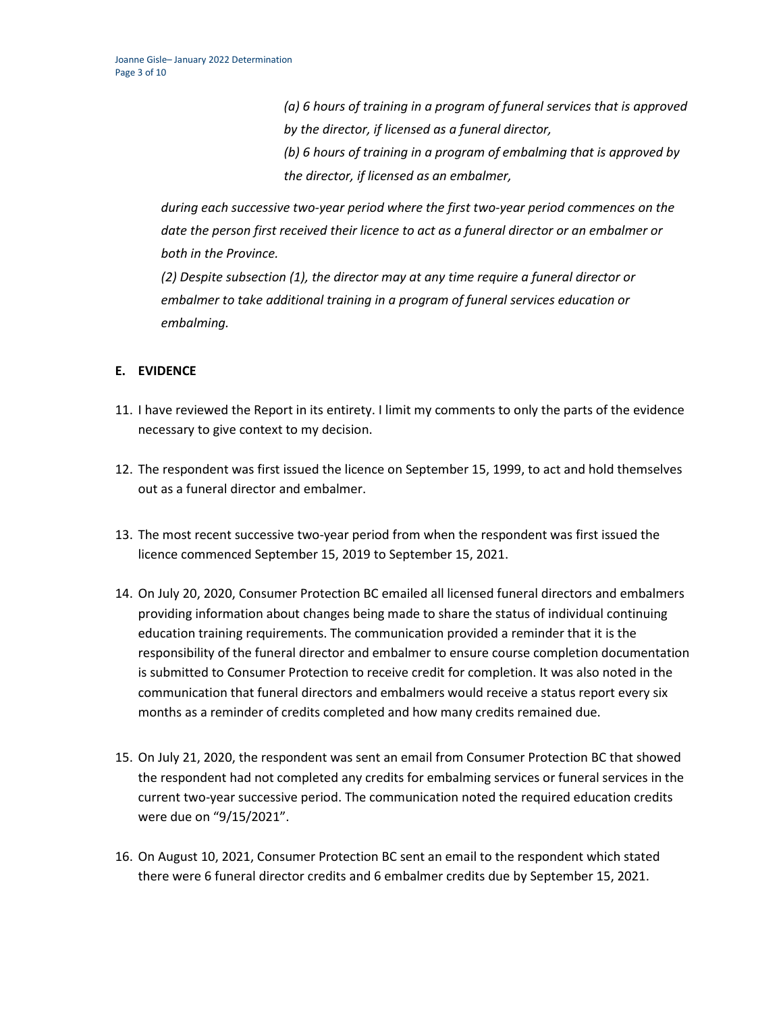*(a) 6 hours of training in a program of funeral services that is approved by the director, if licensed as a funeral director, (b) 6 hours of training in a program of embalming that is approved by the director, if licensed as an embalmer,*

*during each successive two-year period where the first two-year period commences on the date the person first received their licence to act as a funeral director or an embalmer or both in the Province.*

*(2) Despite subsection (1), the director may at any time require a funeral director or embalmer to take additional training in a program of funeral services education or embalming.*

# **E. EVIDENCE**

- 11. I have reviewed the Report in its entirety. I limit my comments to only the parts of the evidence necessary to give context to my decision.
- 12. The respondent was first issued the licence on September 15, 1999, to act and hold themselves out as a funeral director and embalmer.
- 13. The most recent successive two-year period from when the respondent was first issued the licence commenced September 15, 2019 to September 15, 2021.
- 14. On July 20, 2020, Consumer Protection BC emailed all licensed funeral directors and embalmers providing information about changes being made to share the status of individual continuing education training requirements. The communication provided a reminder that it is the responsibility of the funeral director and embalmer to ensure course completion documentation is submitted to Consumer Protection to receive credit for completion. It was also noted in the communication that funeral directors and embalmers would receive a status report every six months as a reminder of credits completed and how many credits remained due.
- 15. On July 21, 2020, the respondent was sent an email from Consumer Protection BC that showed the respondent had not completed any credits for embalming services or funeral services in the current two-year successive period. The communication noted the required education credits were due on "9/15/2021".
- 16. On August 10, 2021, Consumer Protection BC sent an email to the respondent which stated there were 6 funeral director credits and 6 embalmer credits due by September 15, 2021.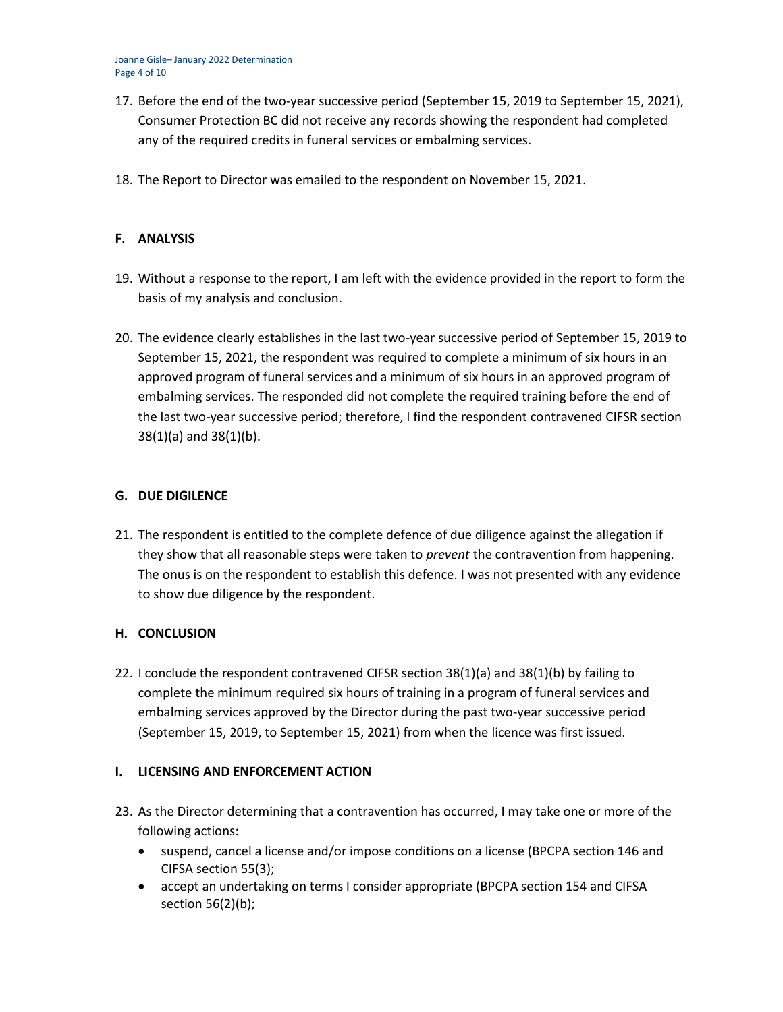- 17. Before the end of the two-year successive period (September 15, 2019 to September 15, 2021), Consumer Protection BC did not receive any records showing the respondent had completed any of the required credits in funeral services or embalming services.
- 18. The Report to Director was emailed to the respondent on November 15, 2021.

# **F. ANALYSIS**

- 19. Without a response to the report, I am left with the evidence provided in the report to form the basis of my analysis and conclusion.
- 20. The evidence clearly establishes in the last two-year successive period of September 15, 2019 to September 15, 2021, the respondent was required to complete a minimum of six hours in an approved program of funeral services and a minimum of six hours in an approved program of embalming services. The responded did not complete the required training before the end of the last two-year successive period; therefore, I find the respondent contravened CIFSR section 38(1)(a) and 38(1)(b).

## **G. DUE DIGILENCE**

21. The respondent is entitled to the complete defence of due diligence against the allegation if they show that all reasonable steps were taken to *prevent* the contravention from happening. The onus is on the respondent to establish this defence. I was not presented with any evidence to show due diligence by the respondent.

## **H. CONCLUSION**

22. I conclude the respondent contravened CIFSR section 38(1)(a) and 38(1)(b) by failing to complete the minimum required six hours of training in a program of funeral services and embalming services approved by the Director during the past two-year successive period (September 15, 2019, to September 15, 2021) from when the licence was first issued.

## **I. LICENSING AND ENFORCEMENT ACTION**

- 23. As the Director determining that a contravention has occurred, I may take one or more of the following actions:
	- suspend, cancel a license and/or impose conditions on a license (BPCPA section 146 and CIFSA section 55(3);
	- accept an undertaking on terms I consider appropriate (BPCPA section 154 and CIFSA section 56(2)(b);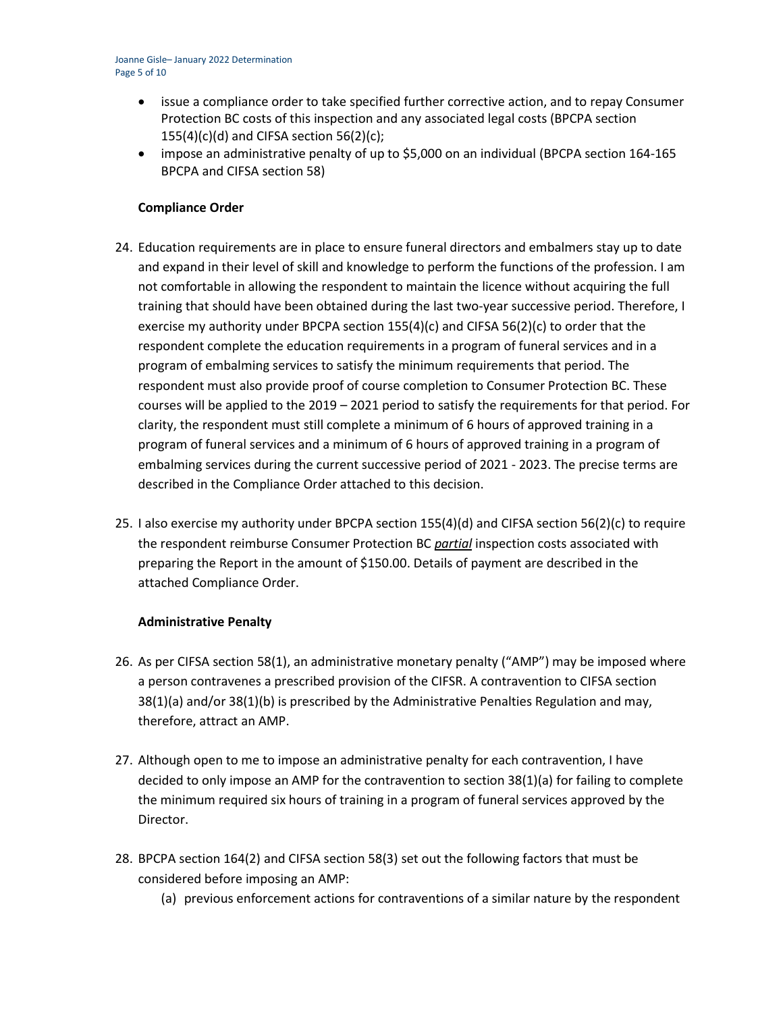- issue a compliance order to take specified further corrective action, and to repay Consumer Protection BC costs of this inspection and any associated legal costs (BPCPA section  $155(4)(c)(d)$  and CIFSA section 56(2)(c);
- impose an administrative penalty of up to \$5,000 on an individual (BPCPA section 164-165 BPCPA and CIFSA section 58)

## **Compliance Order**

- 24. Education requirements are in place to ensure funeral directors and embalmers stay up to date and expand in their level of skill and knowledge to perform the functions of the profession. I am not comfortable in allowing the respondent to maintain the licence without acquiring the full training that should have been obtained during the last two-year successive period. Therefore, I exercise my authority under BPCPA section 155(4)(c) and CIFSA 56(2)(c) to order that the respondent complete the education requirements in a program of funeral services and in a program of embalming services to satisfy the minimum requirements that period. The respondent must also provide proof of course completion to Consumer Protection BC. These courses will be applied to the 2019 – 2021 period to satisfy the requirements for that period. For clarity, the respondent must still complete a minimum of 6 hours of approved training in a program of funeral services and a minimum of 6 hours of approved training in a program of embalming services during the current successive period of 2021 - 2023. The precise terms are described in the Compliance Order attached to this decision.
- 25. I also exercise my authority under BPCPA section 155(4)(d) and CIFSA section 56(2)(c) to require the respondent reimburse Consumer Protection BC *partial* inspection costs associated with preparing the Report in the amount of \$150.00. Details of payment are described in the attached Compliance Order.

## **Administrative Penalty**

- 26. As per CIFSA section 58(1), an administrative monetary penalty ("AMP") may be imposed where a person contravenes a prescribed provision of the CIFSR. A contravention to CIFSA section 38(1)(a) and/or 38(1)(b) is prescribed by the Administrative Penalties Regulation and may, therefore, attract an AMP.
- 27. Although open to me to impose an administrative penalty for each contravention, I have decided to only impose an AMP for the contravention to section 38(1)(a) for failing to complete the minimum required six hours of training in a program of funeral services approved by the Director.
- 28. BPCPA section 164(2) and CIFSA section 58(3) set out the following factors that must be considered before imposing an AMP:
	- (a) previous enforcement actions for contraventions of a similar nature by the respondent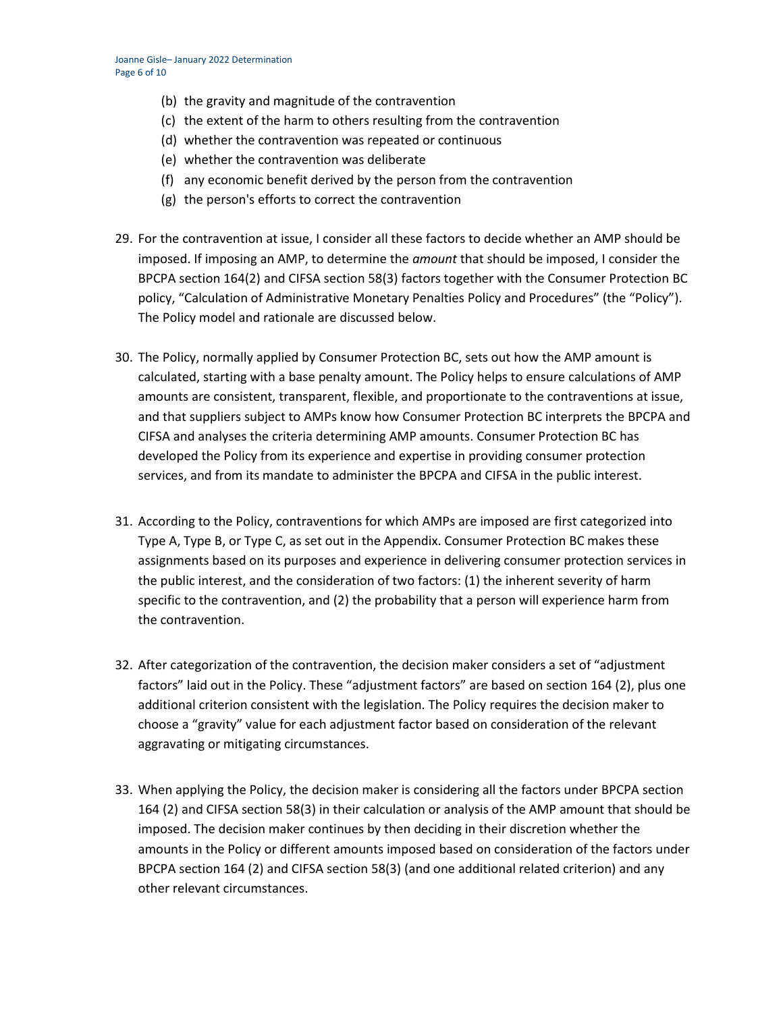- (b) the gravity and magnitude of the contravention
- (c) the extent of the harm to others resulting from the contravention
- (d) whether the contravention was repeated or continuous
- (e) whether the contravention was deliberate
- (f) any economic benefit derived by the person from the contravention
- (g) the person's efforts to correct the contravention
- 29. For the contravention at issue, I consider all these factors to decide whether an AMP should be imposed. If imposing an AMP, to determine the *amount* that should be imposed, I consider the BPCPA section 164(2) and CIFSA section 58(3) factors together with the Consumer Protection BC policy, "Calculation of Administrative Monetary Penalties Policy and Procedures" (the "Policy"). The Policy model and rationale are discussed below.
- 30. The Policy, normally applied by Consumer Protection BC, sets out how the AMP amount is calculated, starting with a base penalty amount. The Policy helps to ensure calculations of AMP amounts are consistent, transparent, flexible, and proportionate to the contraventions at issue, and that suppliers subject to AMPs know how Consumer Protection BC interprets the BPCPA and CIFSA and analyses the criteria determining AMP amounts. Consumer Protection BC has developed the Policy from its experience and expertise in providing consumer protection services, and from its mandate to administer the BPCPA and CIFSA in the public interest.
- 31. According to the Policy, contraventions for which AMPs are imposed are first categorized into Type A, Type B, or Type C, as set out in the Appendix. Consumer Protection BC makes these assignments based on its purposes and experience in delivering consumer protection services in the public interest, and the consideration of two factors: (1) the inherent severity of harm specific to the contravention, and (2) the probability that a person will experience harm from the contravention.
- 32. After categorization of the contravention, the decision maker considers a set of "adjustment factors" laid out in the Policy. These "adjustment factors" are based on section 164 (2), plus one additional criterion consistent with the legislation. The Policy requires the decision maker to choose a "gravity" value for each adjustment factor based on consideration of the relevant aggravating or mitigating circumstances.
- 33. When applying the Policy, the decision maker is considering all the factors under BPCPA section 164 (2) and CIFSA section 58(3) in their calculation or analysis of the AMP amount that should be imposed. The decision maker continues by then deciding in their discretion whether the amounts in the Policy or different amounts imposed based on consideration of the factors under BPCPA section 164 (2) and CIFSA section 58(3) (and one additional related criterion) and any other relevant circumstances.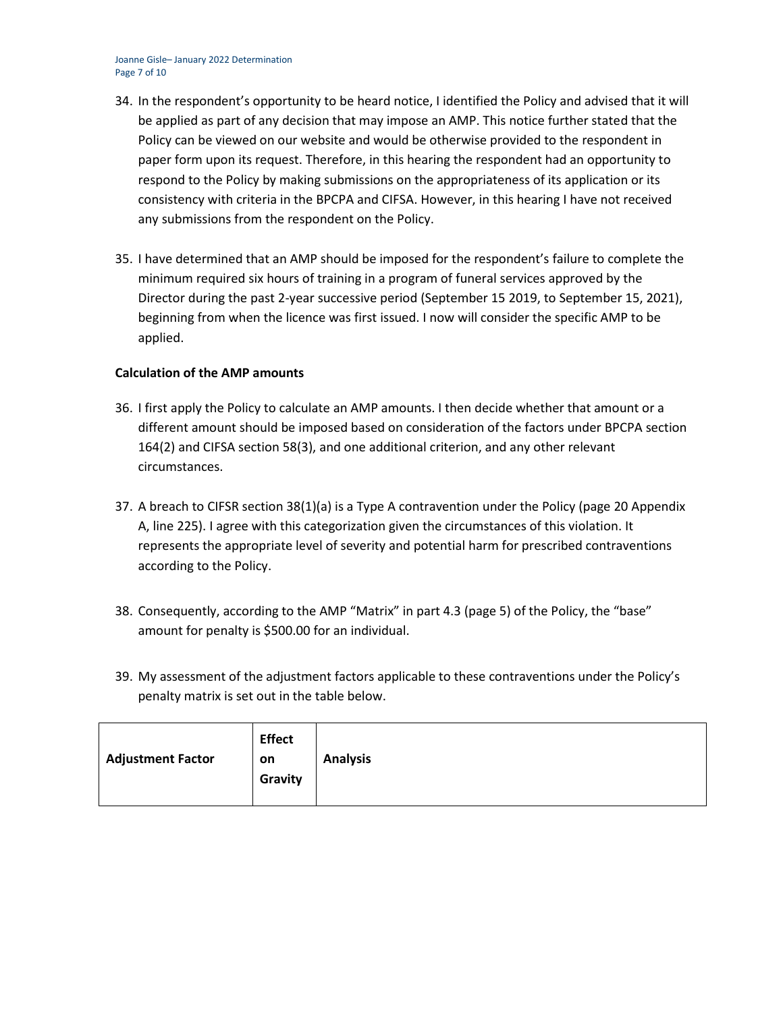Joanne Gisle– January 2022 Determination Page 7 of 10

- 34. In the respondent's opportunity to be heard notice, I identified the Policy and advised that it will be applied as part of any decision that may impose an AMP. This notice further stated that the Policy can be viewed on our website and would be otherwise provided to the respondent in paper form upon its request. Therefore, in this hearing the respondent had an opportunity to respond to the Policy by making submissions on the appropriateness of its application or its consistency with criteria in the BPCPA and CIFSA. However, in this hearing I have not received any submissions from the respondent on the Policy.
- 35. I have determined that an AMP should be imposed for the respondent's failure to complete the minimum required six hours of training in a program of funeral services approved by the Director during the past 2-year successive period (September 15 2019, to September 15, 2021), beginning from when the licence was first issued. I now will consider the specific AMP to be applied.

## **Calculation of the AMP amounts**

- 36. I first apply the Policy to calculate an AMP amounts. I then decide whether that amount or a different amount should be imposed based on consideration of the factors under BPCPA section 164(2) and CIFSA section 58(3), and one additional criterion, and any other relevant circumstances.
- 37. A breach to CIFSR section 38(1)(a) is a Type A contravention under the Policy (page 20 Appendix A, line 225). I agree with this categorization given the circumstances of this violation. It represents the appropriate level of severity and potential harm for prescribed contraventions according to the Policy.
- 38. Consequently, according to the AMP "Matrix" in part 4.3 (page 5) of the Policy, the "base" amount for penalty is \$500.00 for an individual.
- 39. My assessment of the adjustment factors applicable to these contraventions under the Policy's penalty matrix is set out in the table below.

| <b>Adjustment Factor</b> | <b>Effect</b><br>on<br>Gravity | <b>Analysis</b> |
|--------------------------|--------------------------------|-----------------|
|--------------------------|--------------------------------|-----------------|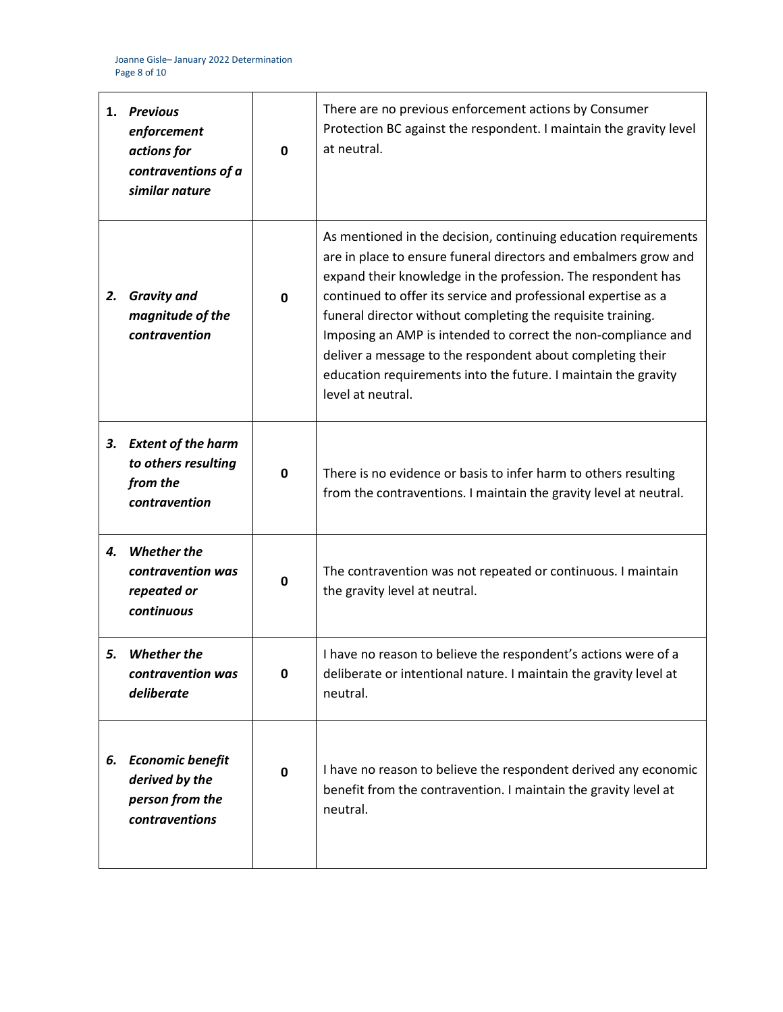| 1. | <b>Previous</b><br>enforcement<br>actions for<br>contraventions of a<br>similar nature | $\mathbf{0}$ | There are no previous enforcement actions by Consumer<br>Protection BC against the respondent. I maintain the gravity level<br>at neutral.                                                                                                                                                                                                                                                                                                                                                                                                                |
|----|----------------------------------------------------------------------------------------|--------------|-----------------------------------------------------------------------------------------------------------------------------------------------------------------------------------------------------------------------------------------------------------------------------------------------------------------------------------------------------------------------------------------------------------------------------------------------------------------------------------------------------------------------------------------------------------|
| 2. | <b>Gravity and</b><br>magnitude of the<br>contravention                                | 0            | As mentioned in the decision, continuing education requirements<br>are in place to ensure funeral directors and embalmers grow and<br>expand their knowledge in the profession. The respondent has<br>continued to offer its service and professional expertise as a<br>funeral director without completing the requisite training.<br>Imposing an AMP is intended to correct the non-compliance and<br>deliver a message to the respondent about completing their<br>education requirements into the future. I maintain the gravity<br>level at neutral. |
| 3. | <b>Extent of the harm</b><br>to others resulting<br>from the<br>contravention          | $\mathbf{0}$ | There is no evidence or basis to infer harm to others resulting<br>from the contraventions. I maintain the gravity level at neutral.                                                                                                                                                                                                                                                                                                                                                                                                                      |
| 4. | <b>Whether the</b><br>contravention was<br>repeated or<br>continuous                   | $\mathbf 0$  | The contravention was not repeated or continuous. I maintain<br>the gravity level at neutral.                                                                                                                                                                                                                                                                                                                                                                                                                                                             |
| 5. | <b>Whether the</b><br>contravention was<br>deliberate                                  | $\mathbf 0$  | I have no reason to believe the respondent's actions were of a<br>deliberate or intentional nature. I maintain the gravity level at<br>neutral.                                                                                                                                                                                                                                                                                                                                                                                                           |
| 6. | <b>Economic benefit</b><br>derived by the<br>person from the<br>contraventions         | $\mathbf 0$  | I have no reason to believe the respondent derived any economic<br>benefit from the contravention. I maintain the gravity level at<br>neutral.                                                                                                                                                                                                                                                                                                                                                                                                            |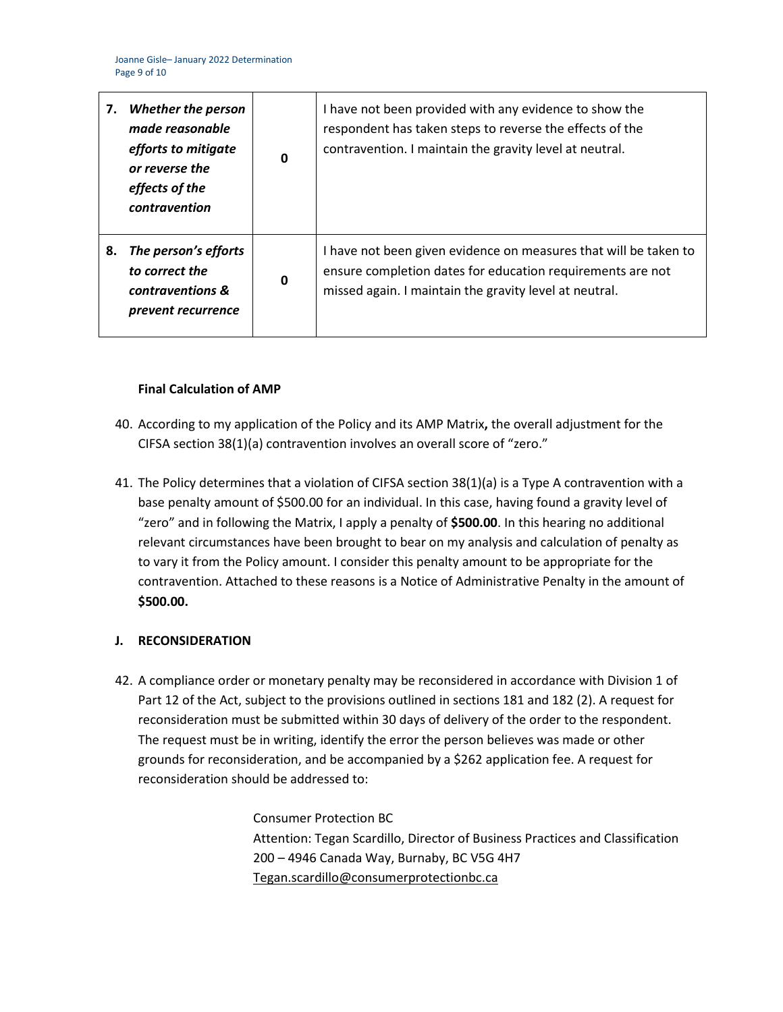| 7. | <b>Whether the person</b><br>made reasonable<br>efforts to mitigate<br>or reverse the<br>effects of the<br>contravention | 0 | I have not been provided with any evidence to show the<br>respondent has taken steps to reverse the effects of the<br>contravention. I maintain the gravity level at neutral.            |
|----|--------------------------------------------------------------------------------------------------------------------------|---|------------------------------------------------------------------------------------------------------------------------------------------------------------------------------------------|
| 8. | The person's efforts<br>to correct the<br>contraventions &<br>prevent recurrence                                         | 0 | I have not been given evidence on measures that will be taken to<br>ensure completion dates for education requirements are not<br>missed again. I maintain the gravity level at neutral. |

## **Final Calculation of AMP**

- 40. According to my application of the Policy and its AMP Matrix**,** the overall adjustment for the CIFSA section 38(1)(a) contravention involves an overall score of "zero."
- 41. The Policy determines that a violation of CIFSA section 38(1)(a) is a Type A contravention with a base penalty amount of \$500.00 for an individual. In this case, having found a gravity level of "zero" and in following the Matrix, I apply a penalty of **\$500.00**. In this hearing no additional relevant circumstances have been brought to bear on my analysis and calculation of penalty as to vary it from the Policy amount. I consider this penalty amount to be appropriate for the contravention. Attached to these reasons is a Notice of Administrative Penalty in the amount of **\$500.00.**

# **J. RECONSIDERATION**

42. A compliance order or monetary penalty may be reconsidered in accordance with Division 1 of Part 12 of the Act, subject to the provisions outlined in sections 181 and 182 (2). A request for reconsideration must be submitted within 30 days of delivery of the order to the respondent. The request must be in writing, identify the error the person believes was made or other grounds for reconsideration, and be accompanied by a \$262 application fee. A request for reconsideration should be addressed to:

> Consumer Protection BC Attention: Tegan Scardillo, Director of Business Practices and Classification 200 – 4946 Canada Way, Burnaby, BC V5G 4H7 [Tegan.scardillo@consumerprotectionbc.ca](mailto:Tegan.scardillo@consumerprotectionbc.ca)